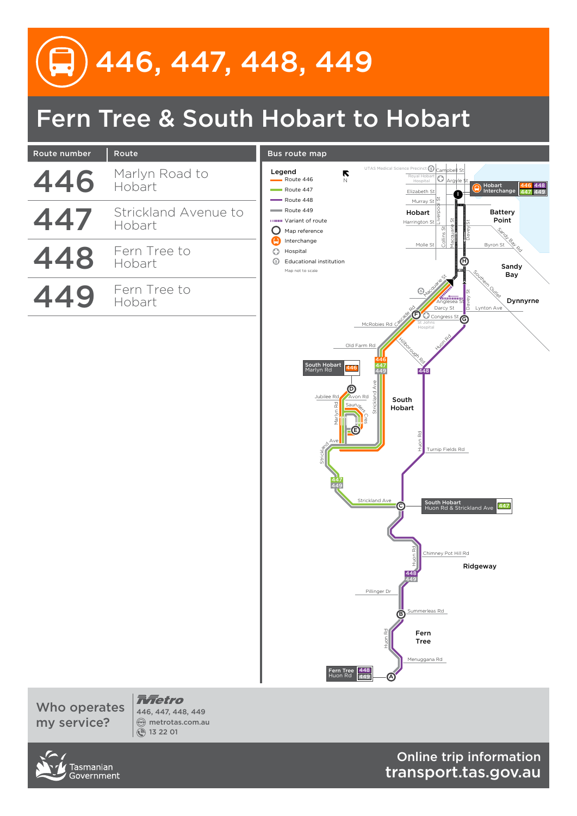# Fern Tree & South Hobart to Hobart



Who operates my service?

*<u>Raetro</u>* 446, 447, 448, 449 metrotas.com.au 13 22 01

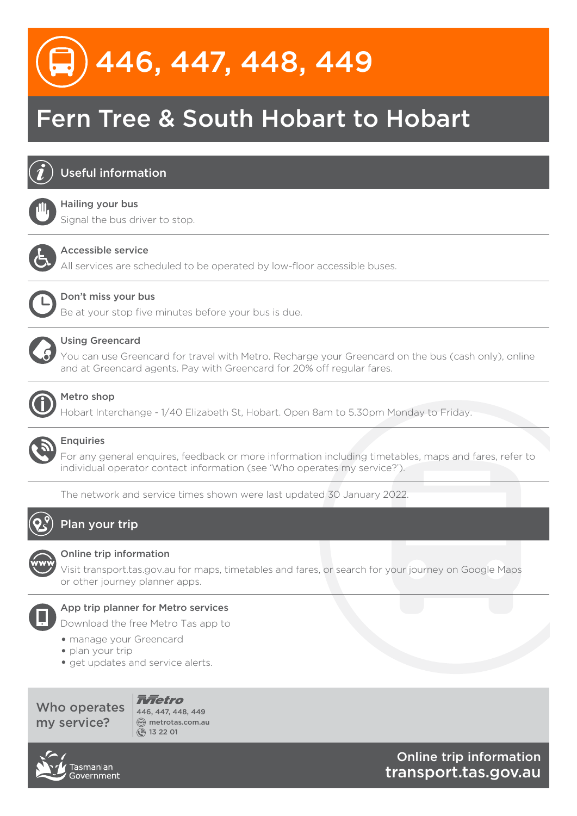# Fern Tree & South Hobart to Hobart



## Useful information



#### Hailing your bus

Signal the bus driver to stop.



#### Accessible service

All services are scheduled to be operated by low-floor accessible buses.



### Don't miss your bus

Be at your stop five minutes before your bus is due.



### Using Greencard

You can use Greencard for travel with Metro. Recharge your Greencard on the bus (cash only), online and at Greencard agents. Pay with Greencard for 20% off regular fares.



### Metro shop

Hobart Interchange - 1/40 Elizabeth St, Hobart. Open 8am to 5.30pm Monday to Friday.



### **Enquiries**

For any general enquires, feedback or more information including timetables, maps and fares, refer to individual operator contact information (see 'Who operates my service?').

The network and service times shown were last updated 30 January 2022.



# Plan your trip



### Online trip information

Visit transport.tas.gov.au for maps, timetables and fares, or search for your journey on Google Maps or other journey planner apps.



### App trip planner for Metro services

Download the free Metro Tas app to

- manage your Greencard
- plan your trip
- get updates and service alerts.

Who operates my service?

**Rational Rest Formation** 446, 447, 448, 449  $\textcircled{m}$  metrotas.com.au  $\binom{5}{13}$  13 22 01

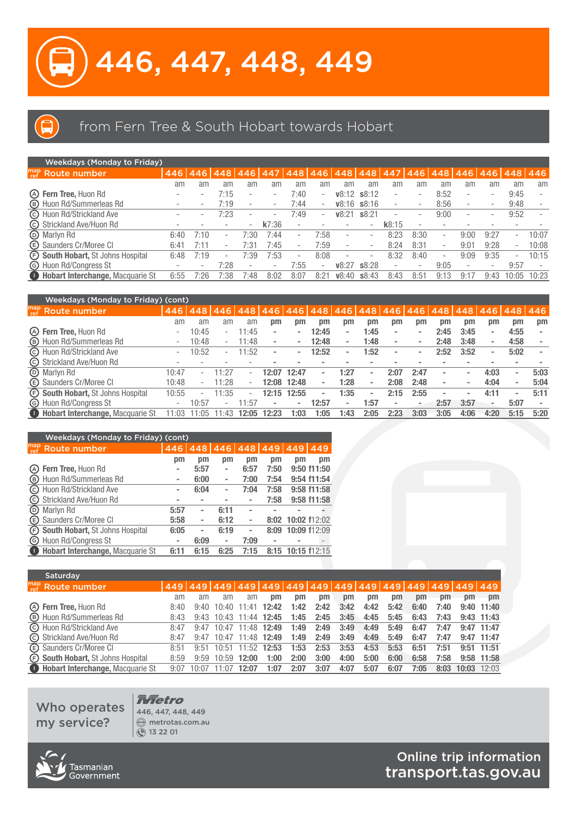

# from Fern Tree & South Hobart towards Hobart

| <b>Weekdays (Monday to Friday)</b>  |      |      |                          |      |        |                          |                          |       |                          |       |                          |                          |                                     |                          |                          |                          |
|-------------------------------------|------|------|--------------------------|------|--------|--------------------------|--------------------------|-------|--------------------------|-------|--------------------------|--------------------------|-------------------------------------|--------------------------|--------------------------|--------------------------|
| $_{ref}^{map}$ Route number         |      |      | 446 446 448              | 446  | 447    | 448                      | 446                      |       |                          |       |                          |                          | 448 448 447 446 448 446 446 448 446 |                          |                          |                          |
|                                     | am   | am   | am                       | am   | am     | am                       | am                       | am    | am                       | am    | am                       | am                       | am                                  | am                       | am                       | am                       |
| (A) Fern Tree, Huon Rd              |      |      | 7:15                     |      | -      | 7:40                     | $\sim$                   | V8:12 | s8:12                    |       | $\sim$                   | 8:52                     | $\sim$                              | $\overline{\phantom{a}}$ | 9:45                     | $\overline{\phantom{a}}$ |
| <b>B</b> Huon Rd/Summerleas Rd      | ۰    |      | 7:19                     |      | $\sim$ | 7:44                     | $\overline{\phantom{a}}$ | V8:16 | s8:16                    |       | $\overline{\phantom{a}}$ | 8:56                     | $\sim$                              | $\overline{\phantom{a}}$ | 9:48                     | $\overline{\phantom{a}}$ |
| © Huon Rd/Strickland Ave            | ۰    |      | 7:23                     | ÷    | $\sim$ | 7:49                     | $\overline{\phantom{a}}$ | V8:21 | \$8:21                   |       | ۰.                       | 9:00                     | $\sim$                              | $\overline{\phantom{a}}$ | 9:52                     |                          |
| Strickland Ave/Huon Rd              |      |      | $\overline{\phantom{a}}$ | ۰    | k7:36  |                          |                          |       | $\overline{\phantom{a}}$ | k8:15 | $\overline{\phantom{a}}$ |                          |                                     |                          |                          |                          |
| <b>ID</b> Marlyn Rd                 | 6:40 | 7:10 | $\overline{\phantom{a}}$ | 7:30 | 7:44   | $\overline{\phantom{0}}$ | 7:58                     |       | ۰                        | 8:23  | 8:30                     | $\overline{\phantom{a}}$ | 9:00                                | 9:27                     | $\overline{\phantom{a}}$ | 10:07                    |
| Saunders Cr/Moree Cl                | 6:41 | 7:11 | $\overline{\phantom{a}}$ | 7:31 | 7:45   | $\overline{\phantom{0}}$ | 7:59                     |       | ۰                        | 8:24  | 8:31                     | ۰.                       | 9:01                                | 9:28                     | $\overline{\phantom{a}}$ | 10:08                    |
| (F) South Hobart, St Johns Hospital | 6:48 | 7:19 | $\overline{\phantom{0}}$ | 7:39 | 7:53   | $\overline{\phantom{a}}$ | 8:08                     |       |                          | 8:32  | 8:40                     | ۰                        | 9:09                                | 9:35                     | $\sim$                   | 10:15                    |
| <b>G</b> Huon Rd/Congress St        | ۰    | ۰.   | 7:28                     |      | $\sim$ | 7:55                     | $\overline{\phantom{a}}$ | V8.27 | \$8:28                   |       | $\overline{\phantom{a}}$ | 9:05                     | ۰                                   | $\overline{\phantom{a}}$ | 9:57                     |                          |
| Hobart Interchange, Macquarie St    | 6:55 | 7·26 | 7:38                     | 7:48 | 8:02   | 8:07                     | 8:21                     | V8:40 | \$8:43                   | 8:43  | 8:51                     | 9:13                     | 9:17                                | 9:43                     | 10:05                    | 10:23                    |

| Weekdays (Monday to Friday) (cont)  |                          |       |                          |                     |                          |                          |                                               |                          |                              |                          |                          |                          |                          |      |                          |                          |
|-------------------------------------|--------------------------|-------|--------------------------|---------------------|--------------------------|--------------------------|-----------------------------------------------|--------------------------|------------------------------|--------------------------|--------------------------|--------------------------|--------------------------|------|--------------------------|--------------------------|
| $\int_{ref}^{map}$ Route number     |                          |       |                          | 446 448 446 448 446 |                          | 446                      | 448   446   448   446   446   448   448   446 |                          |                              |                          |                          |                          |                          |      | 448                      | 446                      |
|                                     | am                       | am    | am                       | am                  | pm                       | pm                       | pm                                            | pm                       | pm                           | pm                       | pm                       | pm                       | рm                       | pm   | pm                       | pm                       |
| (A) Fern Tree, Huon Rd              | $\overline{\phantom{a}}$ | 10:45 | $\overline{\phantom{a}}$ | 1:45                | $\blacksquare$           | -                        | 12:45                                         |                          | :45                          | $\overline{\phantom{a}}$ | -                        | 2:45                     | 3:45                     | $\,$ | 4:55                     | $\overline{\phantom{a}}$ |
| <b>(B)</b> Huon Rd/Summerleas Rd    | $\overline{\phantom{a}}$ | 10:48 | $\overline{\phantom{a}}$ | 1:48                | $\overline{\phantom{a}}$ |                          | 12:48                                         | $\overline{\phantom{0}}$ | 1:48                         | $\,$                     | $\overline{\phantom{0}}$ | 2:48                     | 3:48                     | $\,$ | 4:58                     | $\overline{\phantom{a}}$ |
| C Huon Rd/Strickland Ave            | ٠                        | 0:52  | $\overline{\phantom{a}}$ | 1:52                | $\overline{\phantom{a}}$ |                          | 12:52                                         |                          | :52                          | $\overline{\phantom{a}}$ | -                        | 2:52                     | 3:52                     | $\,$ | 5:02                     | $\overline{\phantom{a}}$ |
| © Strickland Ave/Huon Rd            |                          |       |                          |                     |                          |                          |                                               |                          |                              |                          |                          |                          |                          |      |                          |                          |
| <b>I</b> Marlyn Rd                  | 10:47                    | ۰.    | 1:27                     | ÷                   | 12:07                    | 12:47                    | $\overline{\phantom{a}}$                      | 1:27                     | $\qquad \qquad \blacksquare$ | 2:07                     | 2:47                     | $\overline{\phantom{a}}$ | $\overline{\phantom{a}}$ | 4:03 | $\overline{\phantom{a}}$ | 5:03                     |
| Saunders Cr/Moree Cl                | 10:48                    |       | 11:28                    |                     | 12:08                    | 12:48                    | $\overline{\phantom{a}}$                      | 1:28                     | -                            | 2:08                     | 2:48                     | $\overline{\phantom{a}}$ |                          | 4:04 | $\,$                     | 5:04                     |
| (F) South Hobart, St Johns Hospital | 10:55                    |       | 11:35                    | ÷                   | 12:15                    | 12:55                    | $\overline{\phantom{a}}$                      | 1:35                     | $\blacksquare$               | 2:15                     | 2:55                     |                          |                          | 4:11 | $\,$                     | 5:11                     |
| <b>G</b> Huon Rd/Congress St        | $\overline{\phantom{a}}$ | 0:57  | $\overline{\phantom{0}}$ | 1:57                | $\overline{\phantom{0}}$ | $\overline{\phantom{0}}$ | 12:57                                         | $\overline{\phantom{0}}$ | 1:57                         | $\overline{\phantom{a}}$ | $\overline{\phantom{0}}$ | 2:57                     | 3:57                     | -    | 5:07                     |                          |
| Hobart Interchange, Macquarie St    | 11:03                    | 1:05  | 1:43                     | 12:05               | 12:23                    | 1:03                     | 1:05                                          | 1:43                     | 2:05                         | 2:23                     | 3:03                     | 3:05                     | 4:06                     | 4:20 | 5:15                     | 5:20                     |

|                   | Weekdays (Monday to Friday) (cont) |                              |                              |                          |                          |      |     |                 |
|-------------------|------------------------------------|------------------------------|------------------------------|--------------------------|--------------------------|------|-----|-----------------|
| map               | <b>Route number</b>                | 446                          | 448 446                      |                          | 448                      | 449  | 449 | 449             |
|                   |                                    | pm                           | pm                           | pm                       | pm                       | pm   | pm  | $_{\text{nm}}$  |
| (A)               | Fern Tree, Huon Rd                 |                              | 5:57                         | -                        | 6:57                     | 7:50 |     | 9:50 f11:50     |
| (B)               | Huon Rd/Summerleas Rd              | $\qquad \qquad \blacksquare$ | 6:00                         | $\overline{\phantom{a}}$ | 7:00                     | 7:54 |     | 9:54 f11:54     |
| (c)               | Huon Rd/Strickland Ave             |                              | 6:04                         |                          | 7:04                     | 7:58 |     | 9:58 f11:58     |
| $\left( c\right)$ | Strickland Ave/Huon Rd             |                              |                              |                          | $\overline{\phantom{a}}$ | 7:58 |     | 9:58 f11:58     |
| $\circ$           | Marlyn Rd                          | 5:57                         | -                            | 6:11                     | $\overline{\phantom{a}}$ |      | -   |                 |
| (E)               | Saunders Cr/Moree Cl               | 5:58                         | $\qquad \qquad \blacksquare$ | 6:12                     |                          | 8:02 |     | 10:02 f12:02    |
| (F)               | South Hobart, St Johns Hospital    | 6:05                         | $\overline{\phantom{0}}$     | 6:19                     | $\overline{\phantom{a}}$ | 8:09 |     | 10:09 f12:09    |
| $\left( G\right)$ | Huon Rd/Congress St                | $\overline{\phantom{a}}$     | 6:09                         | $\overline{\phantom{0}}$ | 7:09                     |      |     | $\qquad \qquad$ |
|                   | Hobart Interchange, Macquarie St   | 6:11                         | 6:15                         | 6:25                     | 7:15                     | 8:15 |     | 10:15 f12:15    |
|                   |                                    |                              |                              |                          |                          |      |     |                 |

| Saturday                                 |      |       |                    |             |                                                                                   |      |      |      |      |      |      |      |       |              |
|------------------------------------------|------|-------|--------------------|-------------|-----------------------------------------------------------------------------------|------|------|------|------|------|------|------|-------|--------------|
| $\int_{ref}^{map}$ Route number          |      |       |                    |             | 449   449   449   449   449   449   449   449   449   449   449   449   449   449 |      |      |      |      |      |      |      |       |              |
|                                          | am   | am    | am                 | am          | pm                                                                                | рm   | pm   | pm   | pm   | pm   | pm   | рm   | pm    | pm           |
| (A) Fern Tree, Huon Rd                   | 8:40 |       | $9:40 \quad 10:40$ | ۰41         | 12:42                                                                             | 1:42 | 2:42 | 3:42 | 4:42 | 5:42 | 6:40 | 7:40 |       | $9:40$ 11:40 |
| <b>B</b> Huon Rd/Summerleas Rd           | 8:43 |       | $9:43 \quad 10:43$ |             | $11:44$ 12:45                                                                     | 1:45 | 2:45 | 3:45 | 4:45 | 5:45 | 6:43 | 7:43 |       | $9:43$ 11:43 |
| C Huon Rd/Strickland Ave                 | 8:47 |       | $9:47$ 10:47       |             | $11:48$ 12:49                                                                     | 1:49 | 2:49 | 3:49 | 4:49 | 5:49 | 6:47 | 7:47 |       | $9:47$ 11:47 |
| C Strickland Ave/Huon Rd                 | 8:47 |       | $9:47$ 10:47       | 11:48 12:49 |                                                                                   | 1:49 | 2:49 | 3:49 | 4:49 | 5:49 | 6:47 | 7:47 |       | $9:47$ 11:47 |
| (E) Saunders Cr/Moree Cl                 | 8:51 | 9.51  | 10:51              | 1.52        | 12:53                                                                             | 1:53 | 2:53 | 3:53 | 4:53 | 5:53 | 6:51 | 7:51 |       | 9:51 11:51   |
| <b>E</b> South Hobart, St Johns Hospital | 8:59 |       | $9:59$ 10:59       | 12:00       | 1:00                                                                              | 2:00 | 3:00 | 4:00 | 5:00 | 6:00 | 6:58 | 7:58 |       | 9:58 11:58   |
| Hobart Interchange, Macquarie St         |      | 10:07 |                    | 12:07       | 1:07                                                                              | 2:07 | 3:07 | 4:07 | 5:07 | 6:07 | 7:05 | 8:03 | 10:03 | 12:03        |

Who operates my service?

*<u><del>Antetro</del></u>* 446, 447, 448, 449 metrotas.com.au 13 22 01

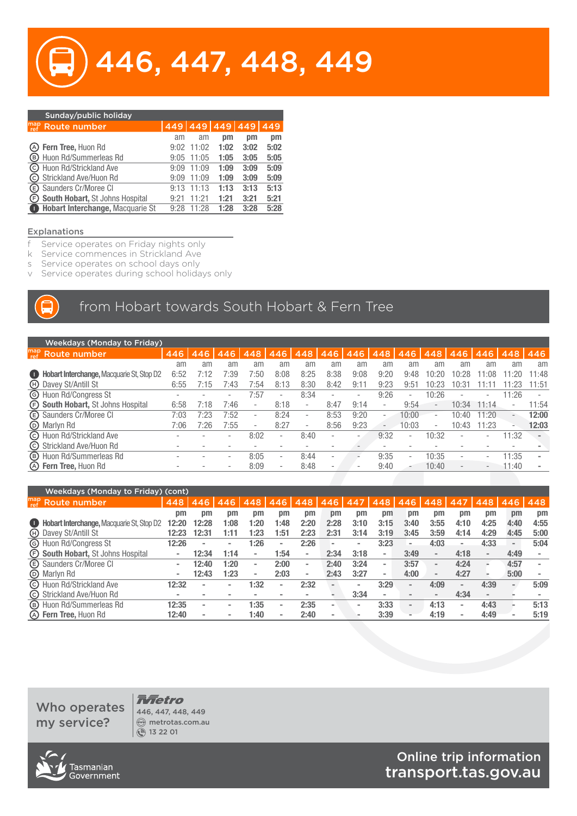|     | Sunday/public holiday            |      |       |      |      |      |
|-----|----------------------------------|------|-------|------|------|------|
|     | map Route number                 | 449  | 449   | 449  | 449  | 449  |
|     |                                  | am   | am    | pm   | pm   | pm   |
|     | 4 Fern Tree, Huon Rd             | 9:02 | 11:02 | 1:02 | 3:02 | 5:02 |
|     | <b>B</b> Huon Rd/Summerleas Rd   | 9:05 | 11:05 | 1:05 | 3:05 | 5:05 |
|     | C Huon Rd/Strickland Ave         | 9:09 | 11:09 | 1:09 | 3:09 | 5:09 |
|     | C Strickland Ave/Huon Rd         | 9:09 | 11:09 | 1:09 | 3:09 | 5:09 |
|     | Saunders Cr/Moree Cl             | 9:13 | 11:13 | 1:13 | 3:13 | 5:13 |
| (F) | South Hobart, St Johns Hospital  | 9.21 | 11.21 | 1:21 | 3:21 | 5:21 |
|     | Hobart Interchange, Macquarie St | 9:28 | 11:28 | 1:28 | 3:28 | 5:28 |

#### Explanations

- f Service operates on Friday nights only
- k Service commences in Strickland Ave
- s Service operates on school days only
- v Service operates during school holidays only

# from Hobart towards South Hobart & Fern Tree

| <b>Weekdays (Monday to Friday)</b>            |      |      |      |                          |                          |                          |         |                          |                          |       |                          |                          |       |                          |                          |
|-----------------------------------------------|------|------|------|--------------------------|--------------------------|--------------------------|---------|--------------------------|--------------------------|-------|--------------------------|--------------------------|-------|--------------------------|--------------------------|
| $\int_{\text{ref}}^{\text{map}}$ Route number | 446  | 446  | 446  | 448                      | 446                      |                          | 448 446 | 446                      | 448                      | 446   |                          | 448 446                  | 446   | 448                      | 446                      |
|                                               | am   | am   | am   | am                       | am                       | am                       | am      | am                       | am                       | am    | am                       | am                       | am    | am                       | am                       |
| Hobart Interchange, Macquarie St, Stop D2     | 6:52 | 7:1  | 7:39 | 7:50                     | 8:08                     | 8:25                     | 8:38    | 9:08                     | 9:20                     | 9:48  | 10:20                    | 10:28                    | 1:08  | 1:20                     | l 1:48                   |
| (H) Davey St/Antill St                        | 6:55 | .5   | 7:43 | 7:54                     | 8:13                     | 8:30                     | 8:42    | 9:11                     | 9:23                     | 9:51  | 10:23                    | 10:31                    | 1:11  | 1:23                     | 1:51                     |
| <b>G</b> Huon Rd/Congress St                  |      |      |      | 7:57                     | $\overline{\phantom{a}}$ | 8:34                     | $\sim$  | $\overline{\phantom{a}}$ | 9:26                     |       | 10:26                    | $\overline{\phantom{a}}$ |       | 11:26                    |                          |
| <b>E South Hobart, St Johns Hospital</b>      | 6:58 | 7:18 | 7:46 | $\overline{\phantom{a}}$ | 8:18                     | $\overline{\phantom{a}}$ | 8:47    | 9:14                     |                          | 9:54  | $\overline{\phantom{a}}$ | 10:34                    | 11:14 | $\overline{\phantom{a}}$ | 11:54                    |
| Saunders Cr/Moree Cl                          | 7:03 | 7:23 | 7:52 | $\overline{\phantom{a}}$ | 8:24                     | $\overline{\phantom{a}}$ | 8:53    | 9:20                     | $\overline{\phantom{a}}$ | 10:00 | $\overline{\phantom{a}}$ | 10:40                    | 11:20 | $\overline{a}$           | 12:00                    |
| (D) Marlyn Rd                                 | 7:06 | 7:26 | 7:55 | $\overline{\phantom{a}}$ | 8:27                     | $\overline{\phantom{a}}$ | 8:56    | 9:23                     | $\overline{\phantom{a}}$ | 10:03 | $\overline{\phantom{a}}$ | 10:43                    | 11:23 | $\overline{\phantom{a}}$ | 12:03                    |
| C Huon Rd/Strickland Ave                      |      |      | -    | 8:02                     | $\overline{\phantom{a}}$ | 8:40                     | $\sim$  | $\sim$                   | 9:32                     |       | 10:32                    | $\sim$                   | ۰.    | 11:32                    | $\,$                     |
| C Strickland Ave/Huon Rd                      |      |      |      |                          |                          |                          |         |                          |                          |       |                          |                          |       |                          |                          |
| <b>(B)</b> Huon Rd/Summerleas Rd              |      |      | -    | 8:05                     | $\overline{\phantom{a}}$ | 8:44                     | $\sim$  |                          | 9:35                     |       | 10:35                    | $\overline{\phantom{a}}$ |       | 1:35                     | $\overline{\phantom{a}}$ |
| <b>A</b> Fern Tree, Huon Rd                   |      |      |      | 8:09                     | $\overline{\phantom{a}}$ | 8:48                     | $\sim$  | $\sim$                   | 9:40                     |       | 10:40                    | $\sim$                   |       | 11:40                    |                          |

| Weekdays (Monday to Friday) (cont)        |                |                |       |                          |                          |                          |                          |                |                          |        |                          |                              |                          |                          |                          |
|-------------------------------------------|----------------|----------------|-------|--------------------------|--------------------------|--------------------------|--------------------------|----------------|--------------------------|--------|--------------------------|------------------------------|--------------------------|--------------------------|--------------------------|
| $\int_{ref}^{map}$ Route number           | 448            | 446            | 446 l | 448                      | 446                      |                          | 448 446                  | 447            | 448                      | 446    | 448 447                  |                              | 448                      | 446                      | 448                      |
|                                           | pm             | рm             | pm    | рm                       | pm                       | pm                       | pm                       | pm             | pm                       | pm     | pm                       | pm                           | pm                       | pm                       | pm                       |
| Hobart Interchange, Macquarie St, Stop D2 |                | 12:28          | 1:08  | 1:20                     | 1:48                     | 2:20                     | 2:28                     | 3:10           | 3:15                     | 3:40   | 3:55                     | 4:10                         | 4:25                     | 4:40                     | 4:55                     |
| <b>(b)</b> Davey St/Antill St             | 12:23          | 12:31          | 1:11  | 1:23                     | 1:51                     | 2:23                     | 2:31                     | 3:14           | 3:19                     | 3:45   | 3:59                     | 4:14                         | 4:29                     | 4:45                     | 5:00                     |
| <b>G</b> Huon Rd/Congress St              | 12:26          |                |       | 1:26                     | $\overline{\phantom{a}}$ | 2:26                     |                          | $\blacksquare$ | 3:23                     |        | 4:03                     | -                            | 4:33                     | $\overline{\phantom{a}}$ | 5:04                     |
| 5 South Hobart, St Johns Hospital         | $\,$           | 12:34          | 1:14  | $\overline{\phantom{a}}$ | 1:54                     | $\overline{\phantom{0}}$ | 2:34                     | 3:18           | $\overline{\phantom{a}}$ | 3:49   | $\overline{\phantom{a}}$ | 4:18                         | ٠                        | 4:49                     |                          |
|                                           | $\,$           | 12:40          | 1:20  | $\overline{\phantom{a}}$ | 2:00                     | $\overline{\phantom{a}}$ | 2:40                     | 3:24           | $\overline{\phantom{a}}$ | 3:57   | $\overline{\phantom{a}}$ | 4:24                         | -                        | 4:57                     | $\overline{\phantom{a}}$ |
| (D) Marlyn Rd                             | $\,$           | 12:43          | 1:23  | $\overline{\phantom{a}}$ | 2:03                     | $\overline{\phantom{a}}$ | 2:43                     | 3:27           | $\,$                     | 4:00   | $\overline{\phantom{a}}$ | 4:27                         |                          | 5:00                     |                          |
| C Huon Rd/Strickland Ave                  | 12:32          | $\blacksquare$ | -     | 1:32                     | $\,$                     | 2:32                     | -                        | -              | 3:29                     |        | 4:09                     | $\overline{\phantom{0}}$     | 4:39                     | $-$                      | 5:09                     |
| C Strickland Ave/Huon Rd                  | $\blacksquare$ |                |       |                          | $\overline{\phantom{a}}$ | $\overline{\phantom{a}}$ |                          | 3:34           | $\overline{\phantom{a}}$ |        | $\overline{\phantom{a}}$ | 4:34                         | $\overline{\phantom{0}}$ |                          | $\overline{\phantom{a}}$ |
| <b>B</b> Huon Rd/Summerleas Rd            | 12:35          | $\blacksquare$ | -     | 1:35                     | $\overline{\phantom{a}}$ | 2:35                     | $\overline{\phantom{a}}$ | -              | 3:33                     | $\sim$ | 4:13                     | -                            | 4:43                     | $\overline{a}$           | 5:13                     |
| (A) Fern Tree, Huon Rd                    | 12:40          | $\blacksquare$ |       | 1:40                     | $\overline{\phantom{0}}$ | 2:40                     |                          |                | 3:39                     |        | 4:19                     | $\qquad \qquad \blacksquare$ | 4:49                     |                          | 5:19                     |

# Who operates my service?

*<del>ATetro</del>* 446, 447, 448, 449 metrotas.com.au 13 22 01